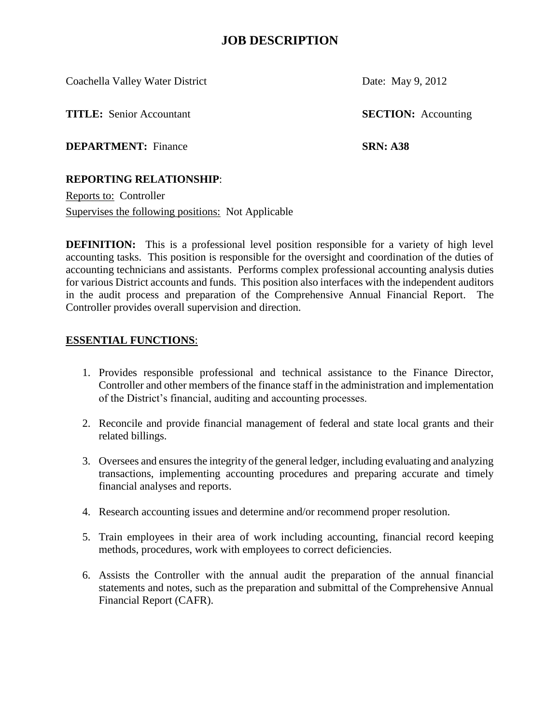Coachella Valley Water District Date: May 9, 2012

**TITLE:** Senior Accountant **SECTION:** Accounting

**DEPARTMENT:** Finance **SRN: A38**

#### **REPORTING RELATIONSHIP**:

Reports to: Controller Supervises the following positions: Not Applicable

**DEFINITION:** This is a professional level position responsible for a variety of high level accounting tasks. This position is responsible for the oversight and coordination of the duties of accounting technicians and assistants. Performs complex professional accounting analysis duties for various District accounts and funds. This position also interfaces with the independent auditors in the audit process and preparation of the Comprehensive Annual Financial Report. The Controller provides overall supervision and direction.

#### **ESSENTIAL FUNCTIONS**:

- 1. Provides responsible professional and technical assistance to the Finance Director, Controller and other members of the finance staff in the administration and implementation of the District's financial, auditing and accounting processes.
- 2. Reconcile and provide financial management of federal and state local grants and their related billings.
- 3. Oversees and ensures the integrity of the general ledger, including evaluating and analyzing transactions, implementing accounting procedures and preparing accurate and timely financial analyses and reports.
- 4. Research accounting issues and determine and/or recommend proper resolution.
- 5. Train employees in their area of work including accounting, financial record keeping methods, procedures, work with employees to correct deficiencies.
- 6. Assists the Controller with the annual audit the preparation of the annual financial statements and notes, such as the preparation and submittal of the Comprehensive Annual Financial Report (CAFR).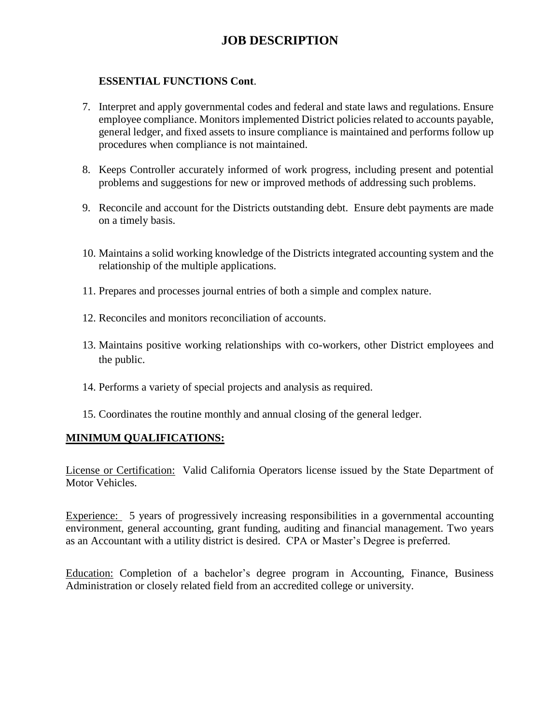### **ESSENTIAL FUNCTIONS Cont**.

- 7. Interpret and apply governmental codes and federal and state laws and regulations. Ensure employee compliance. Monitors implemented District policies related to accounts payable, general ledger, and fixed assets to insure compliance is maintained and performs follow up procedures when compliance is not maintained.
- 8. Keeps Controller accurately informed of work progress, including present and potential problems and suggestions for new or improved methods of addressing such problems.
- 9. Reconcile and account for the Districts outstanding debt. Ensure debt payments are made on a timely basis.
- 10. Maintains a solid working knowledge of the Districts integrated accounting system and the relationship of the multiple applications.
- 11. Prepares and processes journal entries of both a simple and complex nature.
- 12. Reconciles and monitors reconciliation of accounts.
- 13. Maintains positive working relationships with co-workers, other District employees and the public.
- 14. Performs a variety of special projects and analysis as required.
- 15. Coordinates the routine monthly and annual closing of the general ledger.

### **MINIMUM QUALIFICATIONS:**

License or Certification: Valid California Operators license issued by the State Department of Motor Vehicles.

Experience: 5 years of progressively increasing responsibilities in a governmental accounting environment, general accounting, grant funding, auditing and financial management. Two years as an Accountant with a utility district is desired. CPA or Master's Degree is preferred.

Education: Completion of a bachelor's degree program in Accounting, Finance, Business Administration or closely related field from an accredited college or university.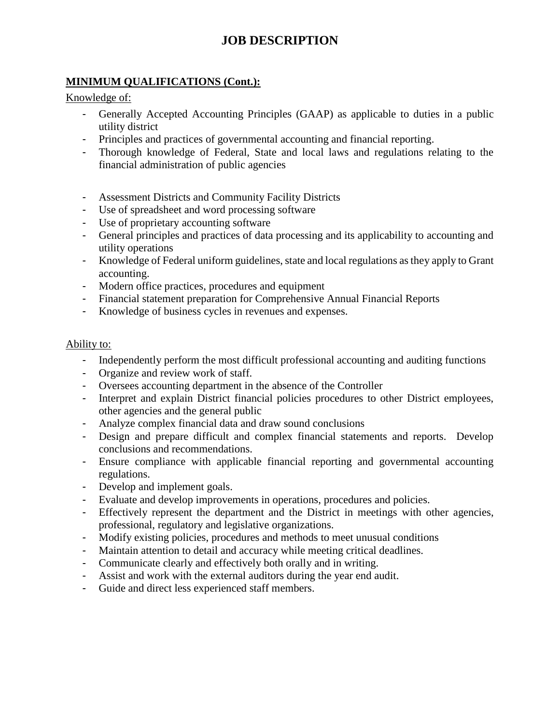## **MINIMUM QUALIFICATIONS (Cont.):**

Knowledge of:

- Generally Accepted Accounting Principles (GAAP) as applicable to duties in a public utility district
- Principles and practices of governmental accounting and financial reporting.
- Thorough knowledge of Federal, State and local laws and regulations relating to the financial administration of public agencies
- Assessment Districts and Community Facility Districts
- Use of spreadsheet and word processing software
- Use of proprietary accounting software
- General principles and practices of data processing and its applicability to accounting and utility operations
- Knowledge of Federal uniform guidelines, state and local regulations as they apply to Grant accounting.
- Modern office practices, procedures and equipment
- Financial statement preparation for Comprehensive Annual Financial Reports
- Knowledge of business cycles in revenues and expenses.

### Ability to:

- Independently perform the most difficult professional accounting and auditing functions
- Organize and review work of staff.
- Oversees accounting department in the absence of the Controller
- Interpret and explain District financial policies procedures to other District employees, other agencies and the general public
- Analyze complex financial data and draw sound conclusions
- Design and prepare difficult and complex financial statements and reports. Develop conclusions and recommendations.
- Ensure compliance with applicable financial reporting and governmental accounting regulations.
- Develop and implement goals.
- Evaluate and develop improvements in operations, procedures and policies.
- Effectively represent the department and the District in meetings with other agencies, professional, regulatory and legislative organizations.
- Modify existing policies, procedures and methods to meet unusual conditions
- Maintain attention to detail and accuracy while meeting critical deadlines.
- Communicate clearly and effectively both orally and in writing.
- Assist and work with the external auditors during the year end audit.
- Guide and direct less experienced staff members.